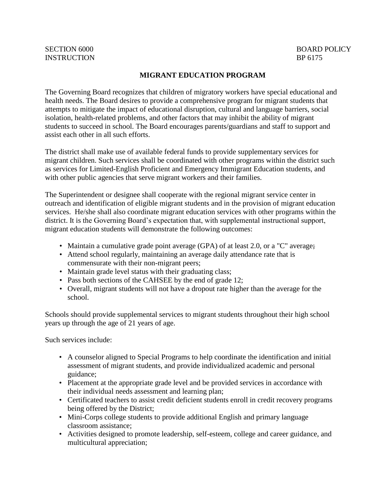# INSTRUCTION BP 6175

### **MIGRANT EDUCATION PROGRAM**

The Governing Board recognizes that children of migratory workers have special educational and health needs. The Board desires to provide a comprehensive program for migrant students that attempts to mitigate the impact of educational disruption, cultural and language barriers, social isolation, health-related problems, and other factors that may inhibit the ability of migrant students to succeed in school. The Board encourages parents/guardians and staff to support and assist each other in all such efforts.

The district shall make use of available federal funds to provide supplementary services for migrant children. Such services shall be coordinated with other programs within the district such as services for Limited-English Proficient and Emergency Immigrant Education students, and with other public agencies that serve migrant workers and their families.

The Superintendent or designee shall cooperate with the regional migrant service center in outreach and identification of eligible migrant students and in the provision of migrant education services. He/she shall also coordinate migrant education services with other programs within the district. It is the Governing Board's expectation that, with supplemental instructional support, migrant education students will demonstrate the following outcomes:

- Maintain a cumulative grade point average (GPA) of at least 2.0, or a "C" average;
- Attend school regularly, maintaining an average daily attendance rate that is commensurate with their non-migrant peers;
- Maintain grade level status with their graduating class;
- Pass both sections of the CAHSEE by the end of grade 12;
- Overall, migrant students will not have a dropout rate higher than the average for the school.

Schools should provide supplemental services to migrant students throughout their high school years up through the age of 21 years of age.

Such services include:

- A counselor aligned to Special Programs to help coordinate the identification and initial assessment of migrant students, and provide individualized academic and personal guidance;
- Placement at the appropriate grade level and be provided services in accordance with their individual needs assessment and learning plan;
- Certificated teachers to assist credit deficient students enroll in credit recovery programs being offered by the District;
- Mini-Corps college students to provide additional English and primary language classroom assistance;
- Activities designed to promote leadership, self-esteem, college and career guidance, and multicultural appreciation;